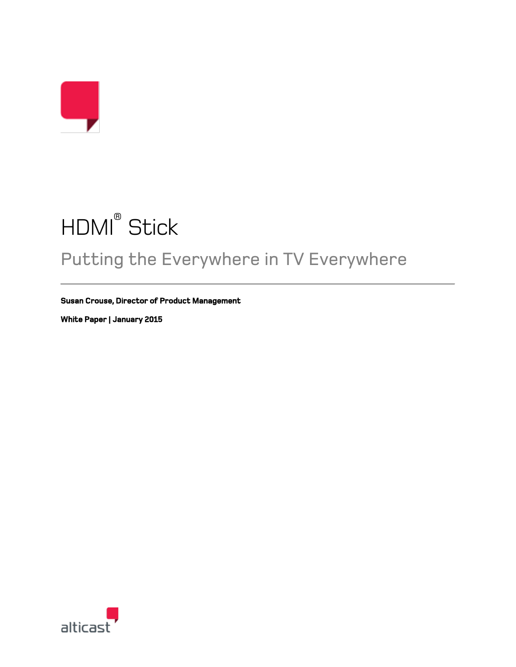# HDMI® Stick

## Putting the Everywhere in TV Everywhere

**Susan Crouse, Director of Product Management** 

**White Paper | January 2015** 

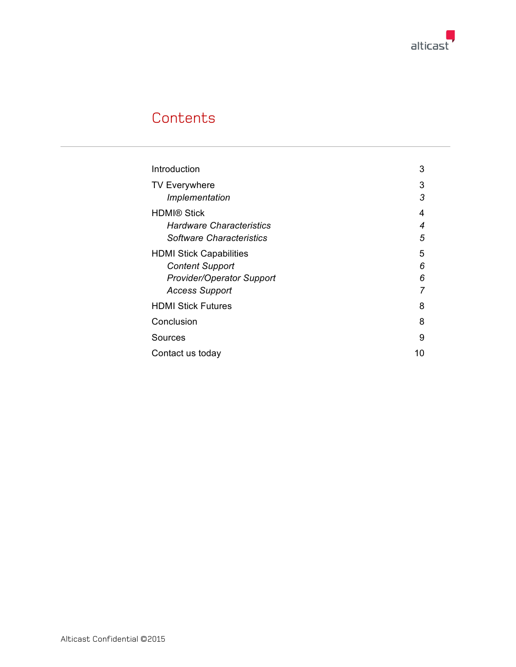

## **Contents**

| Introduction                    | 3  |
|---------------------------------|----|
| <b>TV Everywhere</b>            | 3  |
| Implementation                  | 3  |
| <b>HDMI® Stick</b>              | 4  |
| <b>Hardware Characteristics</b> | 4  |
| Software Characteristics        | 5  |
| <b>HDMI Stick Capabilities</b>  | 5  |
| <b>Content Support</b>          | 6  |
| Provider/Operator Support       | 6  |
| <b>Access Support</b>           |    |
| <b>HDMI Stick Futures</b>       | 8  |
| Conclusion                      | 8  |
| Sources                         | 9  |
| Contact us today                | 10 |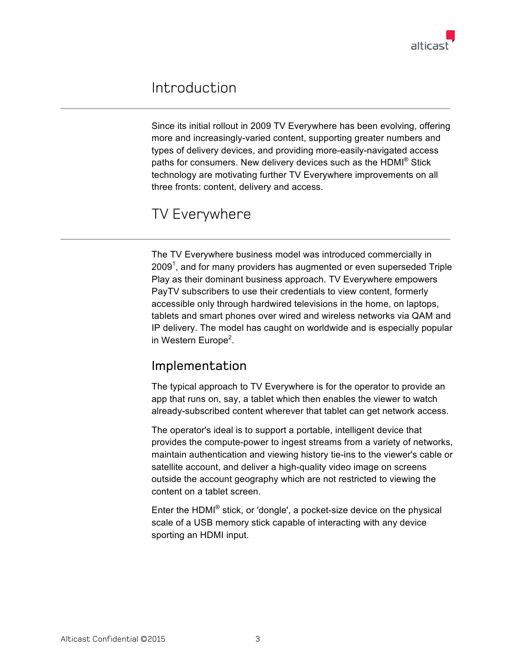

## Introduction

Since its initial rollout in 2009 TV Everywhere has been evolving, offering more and increasingly-varied content, supporting greater numbers and types of delivery devices, and providing more-easily-navigated access paths for consumers. New delivery devices such as the HDMI® Stick technology are motivating further TV Everywhere improvements on all three fronts: content, delivery and access.

#### TV Everywhere

The TV Everywhere business model was introduced commercially in 2009<sup>1</sup>, and for many providers has augmented or even superseded Triple Play as their dominant business approach. TV Everywhere empowers PayTV subscribers to use their credentials to view content, formerly accessible only through hardwired televisions in the home, on laptops, tablets and smart phones over wired and wireless networks via QAM and IP delivery. The model has caught on worldwide and is especially popular in Western Europe<sup>2</sup>.

#### Implementation

The typical approach to TV Everywhere is for the operator to provide an app that runs on, say, a tablet which then enables the viewer to watch already-subscribed content wherever that tablet can get network access.

The operator's ideal is to support a portable, intelligent device that provides the compute-power to ingest streams from a variety of networks, maintain authentication and viewing history tie-ins to the viewer's cable or satellite account, and deliver a high-quality video image on screens outside the account geography which are not restricted to viewing the content on a tablet screen.

Enter the HDMI® stick, or 'dongle', a pocket-size device on the physical scale of a USB memory stick capable of interacting with any device sporting an HDMI input.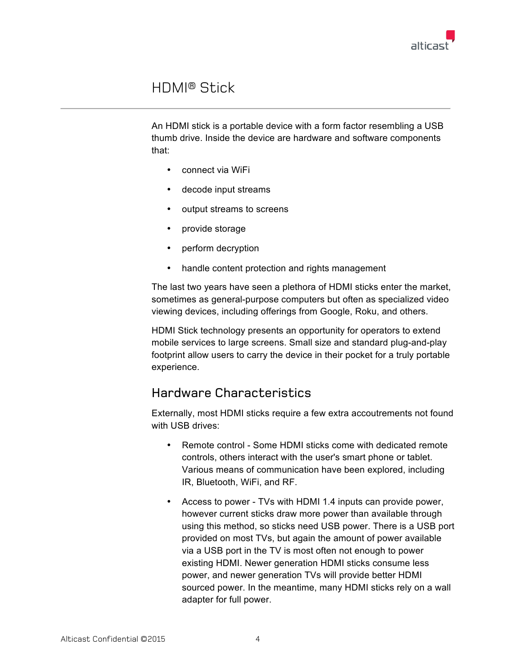

### HDMI® Stick

An HDMI stick is a portable device with a form factor resembling a USB thumb drive. Inside the device are hardware and software components that:

- connect via WiFi
- decode input streams
- output streams to screens
- provide storage
- perform decryption
- handle content protection and rights management

The last two years have seen a plethora of HDMI sticks enter the market, sometimes as general-purpose computers but often as specialized video viewing devices, including offerings from Google, Roku, and others.

HDMI Stick technology presents an opportunity for operators to extend mobile services to large screens. Small size and standard plug-and-play footprint allow users to carry the device in their pocket for a truly portable experience.

#### Hardware Characteristics

Externally, most HDMI sticks require a few extra accoutrements not found with USB drives:

- Remote control Some HDMI sticks come with dedicated remote controls, others interact with the user's smart phone or tablet. Various means of communication have been explored, including IR, Bluetooth, WiFi, and RF.
- Access to power TVs with HDMI 1.4 inputs can provide power, however current sticks draw more power than available through using this method, so sticks need USB power. There is a USB port provided on most TVs, but again the amount of power available via a USB port in the TV is most often not enough to power existing HDMI. Newer generation HDMI sticks consume less power, and newer generation TVs will provide better HDMI sourced power. In the meantime, many HDMI sticks rely on a wall adapter for full power.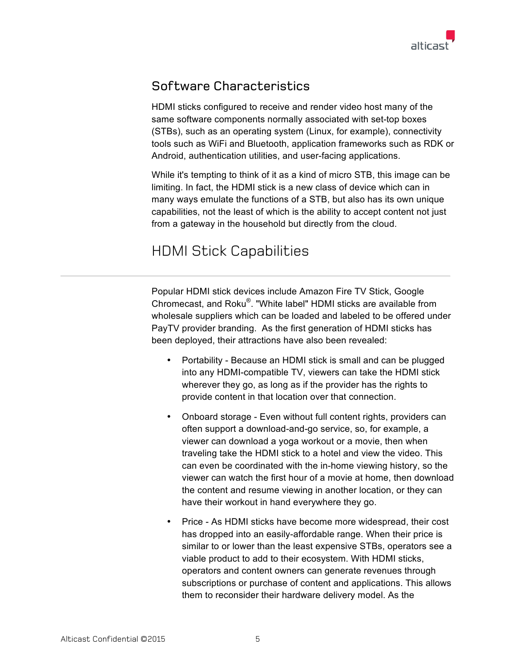

#### Software Characteristics

HDMI sticks configured to receive and render video host many of the same software components normally associated with set-top boxes (STBs), such as an operating system (Linux, for example), connectivity tools such as WiFi and Bluetooth, application frameworks such as RDK or Android, authentication utilities, and user-facing applications.

While it's tempting to think of it as a kind of micro STB, this image can be limiting. In fact, the HDMI stick is a new class of device which can in many ways emulate the functions of a STB, but also has its own unique capabilities, not the least of which is the ability to accept content not just from a gateway in the household but directly from the cloud.

## HDMI Stick Capabilities

Popular HDMI stick devices include Amazon Fire TV Stick, Google Chromecast, and Roku®. "White label" HDMI sticks are available from wholesale suppliers which can be loaded and labeled to be offered under PayTV provider branding. As the first generation of HDMI sticks has been deployed, their attractions have also been revealed:

- Portability Because an HDMI stick is small and can be plugged into any HDMI-compatible TV, viewers can take the HDMI stick wherever they go, as long as if the provider has the rights to provide content in that location over that connection.
- Onboard storage Even without full content rights, providers can often support a download-and-go service, so, for example, a viewer can download a yoga workout or a movie, then when traveling take the HDMI stick to a hotel and view the video. This can even be coordinated with the in-home viewing history, so the viewer can watch the first hour of a movie at home, then download the content and resume viewing in another location, or they can have their workout in hand everywhere they go.
- Price As HDMI sticks have become more widespread, their cost has dropped into an easily-affordable range. When their price is similar to or lower than the least expensive STBs, operators see a viable product to add to their ecosystem. With HDMI sticks, operators and content owners can generate revenues through subscriptions or purchase of content and applications. This allows them to reconsider their hardware delivery model. As the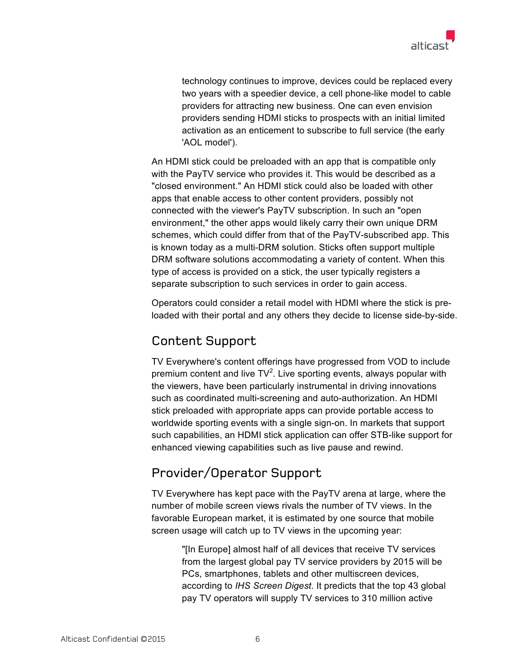

technology continues to improve, devices could be replaced every two years with a speedier device, a cell phone-like model to cable providers for attracting new business. One can even envision providers sending HDMI sticks to prospects with an initial limited activation as an enticement to subscribe to full service (the early 'AOL model').

An HDMI stick could be preloaded with an app that is compatible only with the PayTV service who provides it. This would be described as a "closed environment." An HDMI stick could also be loaded with other apps that enable access to other content providers, possibly not connected with the viewer's PayTV subscription. In such an "open environment," the other apps would likely carry their own unique DRM schemes, which could differ from that of the PayTV-subscribed app. This is known today as a multi-DRM solution. Sticks often support multiple DRM software solutions accommodating a variety of content. When this type of access is provided on a stick, the user typically registers a separate subscription to such services in order to gain access.

Operators could consider a retail model with HDMI where the stick is preloaded with their portal and any others they decide to license side-by-side.

#### Content Support

TV Everywhere's content offerings have progressed from VOD to include premium content and live  $TV^2$ . Live sporting events, always popular with the viewers, have been particularly instrumental in driving innovations such as coordinated multi-screening and auto-authorization. An HDMI stick preloaded with appropriate apps can provide portable access to worldwide sporting events with a single sign-on. In markets that support such capabilities, an HDMI stick application can offer STB-like support for enhanced viewing capabilities such as live pause and rewind.

#### Provider/Operator Support

TV Everywhere has kept pace with the PayTV arena at large, where the number of mobile screen views rivals the number of TV views. In the favorable European market, it is estimated by one source that mobile screen usage will catch up to TV views in the upcoming year:

> "[In Europe] almost half of all devices that receive TV services from the largest global pay TV service providers by 2015 will be PCs, smartphones, tablets and other multiscreen devices, according to *IHS Screen Digest*. It predicts that the top 43 global pay TV operators will supply TV services to 310 million active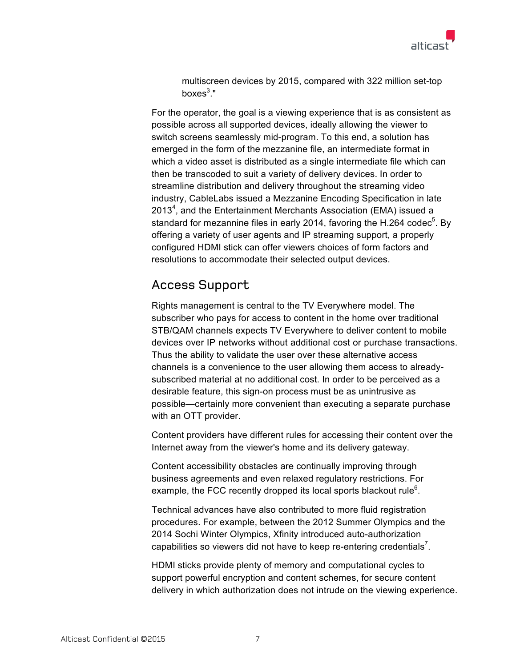

multiscreen devices by 2015, compared with 322 million set-top boxes $^3.$ "

For the operator, the goal is a viewing experience that is as consistent as possible across all supported devices, ideally allowing the viewer to switch screens seamlessly mid-program. To this end, a solution has emerged in the form of the mezzanine file, an intermediate format in which a video asset is distributed as a single intermediate file which can then be transcoded to suit a variety of delivery devices. In order to streamline distribution and delivery throughout the streaming video industry, CableLabs issued a Mezzanine Encoding Specification in late 2013<sup>4</sup>, and the Entertainment Merchants Association (EMA) issued a standard for mezannine files in early 2014, favoring the H.264 codec<sup>5</sup>. By offering a variety of user agents and IP streaming support, a properly configured HDMI stick can offer viewers choices of form factors and resolutions to accommodate their selected output devices.

#### Access Support

Rights management is central to the TV Everywhere model. The subscriber who pays for access to content in the home over traditional STB/QAM channels expects TV Everywhere to deliver content to mobile devices over IP networks without additional cost or purchase transactions. Thus the ability to validate the user over these alternative access channels is a convenience to the user allowing them access to alreadysubscribed material at no additional cost. In order to be perceived as a desirable feature, this sign-on process must be as unintrusive as possible—certainly more convenient than executing a separate purchase with an OTT provider.

Content providers have different rules for accessing their content over the Internet away from the viewer's home and its delivery gateway.

Content accessibility obstacles are continually improving through business agreements and even relaxed regulatory restrictions. For example, the FCC recently dropped its local sports blackout rule<sup>6</sup>.

Technical advances have also contributed to more fluid registration procedures. For example, between the 2012 Summer Olympics and the 2014 Sochi Winter Olympics, Xfinity introduced auto-authorization capabilities so viewers did not have to keep re-entering credentials<sup>7</sup>.

HDMI sticks provide plenty of memory and computational cycles to support powerful encryption and content schemes, for secure content delivery in which authorization does not intrude on the viewing experience.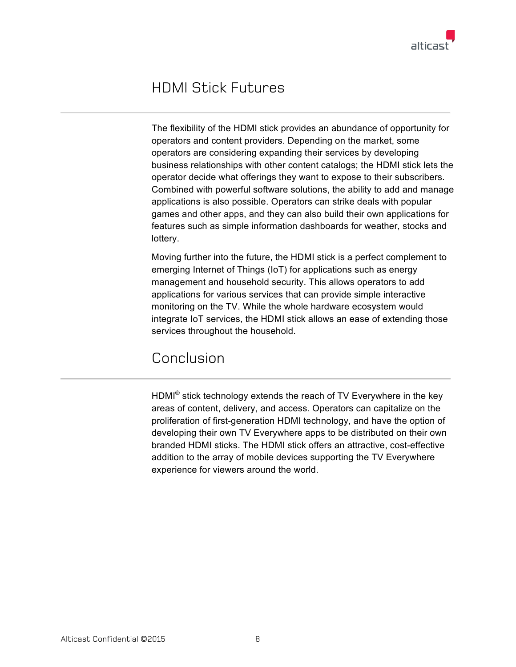## HDMI Stick Futures

The flexibility of the HDMI stick provides an abundance of opportunity for operators and content providers. Depending on the market, some operators are considering expanding their services by developing business relationships with other content catalogs; the HDMI stick lets the operator decide what offerings they want to expose to their subscribers. Combined with powerful software solutions, the ability to add and manage applications is also possible. Operators can strike deals with popular games and other apps, and they can also build their own applications for features such as simple information dashboards for weather, stocks and lottery.

Moving further into the future, the HDMI stick is a perfect complement to emerging Internet of Things (IoT) for applications such as energy management and household security. This allows operators to add applications for various services that can provide simple interactive monitoring on the TV. While the whole hardware ecosystem would integrate IoT services, the HDMI stick allows an ease of extending those services throughout the household.

## Conclusion

HDMI® stick technology extends the reach of TV Everywhere in the key areas of content, delivery, and access. Operators can capitalize on the proliferation of first-generation HDMI technology, and have the option of developing their own TV Everywhere apps to be distributed on their own branded HDMI sticks. The HDMI stick offers an attractive, cost-effective addition to the array of mobile devices supporting the TV Everywhere experience for viewers around the world.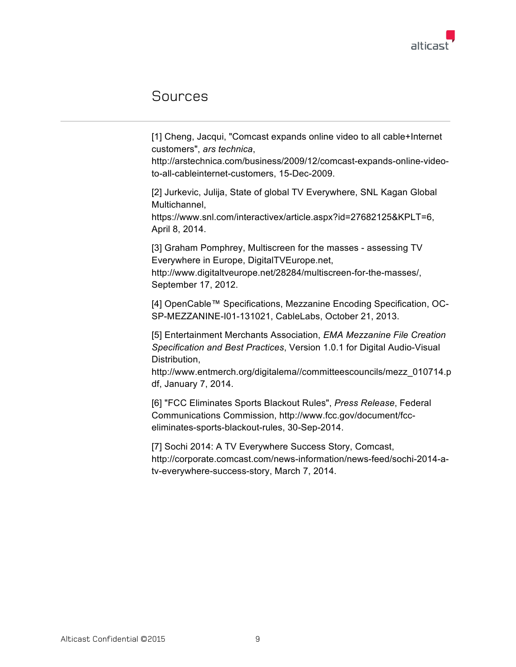

#### Sources

[1] Cheng, Jacqui, "Comcast expands online video to all cable+Internet customers", *ars technica*,

http://arstechnica.com/business/2009/12/comcast-expands-online-videoto-all-cableinternet-customers, 15-Dec-2009.

[2] Jurkevic, Julija, State of global TV Everywhere, SNL Kagan Global Multichannel,

https://www.snl.com/interactivex/article.aspx?id=27682125&KPLT=6, April 8, 2014.

[3] Graham Pomphrey, Multiscreen for the masses - assessing TV Everywhere in Europe, DigitalTVEurope.net,

http://www.digitaltveurope.net/28284/multiscreen-for-the-masses/, September 17, 2012.

[4] OpenCable™ Specifications, Mezzanine Encoding Specification, OC-SP-MEZZANINE-I01-131021, CableLabs, October 21, 2013.

[5] Entertainment Merchants Association, *EMA Mezzanine File Creation Specification and Best Practices*, Version 1.0.1 for Digital Audio-Visual Distribution,

http://www.entmerch.org/digitalema//committeescouncils/mezz\_010714.p df, January 7, 2014.

[6] "FCC Eliminates Sports Blackout Rules", *Press Release*, Federal Communications Commission, http://www.fcc.gov/document/fcceliminates-sports-blackout-rules, 30-Sep-2014.

[7] Sochi 2014: A TV Everywhere Success Story, Comcast, http://corporate.comcast.com/news-information/news-feed/sochi-2014-atv-everywhere-success-story, March 7, 2014.